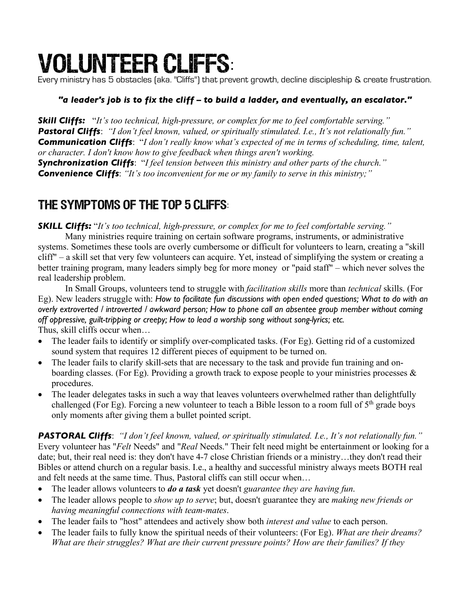# Volunteer Cliffs:

Every ministry has 5 obstacles (aka. "Cliffs") that prevent growth, decline discipleship & create frustration.

#### *"a leader's job is to fix the cliff – to build a ladder, and eventually, an escalator."*

*Skill Cliffs:* "*It's too technical, high-pressure, or complex for me to feel comfortable serving." Pastoral Cliffs*: *"I don't feel known, valued, or spiritually stimulated. I.e., It's not relationally fun." Communication Cliffs*: "*I don't really know what's expected of me in terms of scheduling, time, talent, or character. I don't know how to give feedback when things aren't working.*

*Synchronization Cliffs*: "*I feel tension between this ministry and other parts of the church." Convenience Cliffs*: *"It's too inconvenient for me or my family to serve in this ministry;"*

# The Symptoms of the top 5 Cliffs:

*SKILL Cliffs:* "*It's too technical, high-pressure, or complex for me to feel comfortable serving."*

Many ministries require training on certain software programs, instruments, or administrative systems. Sometimes these tools are overly cumbersome or difficult for volunteers to learn, creating a "skill cliff" – a skill set that very few volunteers can acquire. Yet, instead of simplifying the system or creating a better training program, many leaders simply beg for more money or "paid staff" – which never solves the real leadership problem.

In Small Groups, volunteers tend to struggle with *facilitation skills* more than *technical* skills. (For Eg). New leaders struggle with: *How to facilitate fun discussions with open ended questions; What to do with an overly extroverted / introverted / awkward person; How to phone call an absentee group member without coming off oppressive, guilt-tripping or creepy; How to lead a worship song without song-lyrics; etc.* Thus, skill cliffs occur when…

- The leader fails to identify or simplify over-complicated tasks. (For Eg). Getting rid of a customized sound system that requires 12 different pieces of equipment to be turned on.
- The leader fails to clarify skill-sets that are necessary to the task and provide fun training and onboarding classes. (For Eg). Providing a growth track to expose people to your ministries processes & procedures.
- The leader delegates tasks in such a way that leaves volunteers overwhelmed rather than delightfully challenged (For Eg). Forcing a new volunteer to teach a Bible lesson to a room full of  $5<sup>th</sup>$  grade boys only moments after giving them a bullet pointed script.

*PASTORAL Cliffs*: *"I don't feel known, valued, or spiritually stimulated. I.e., It's not relationally fun."* Every volunteer has "*Felt* Needs" and "*Real* Needs." Their felt need might be entertainment or looking for a date; but, their real need is: they don't have 4-7 close Christian friends or a ministry…they don't read their Bibles or attend church on a regular basis. I.e., a healthy and successful ministry always meets BOTH real and felt needs at the same time. Thus, Pastoral cliffs can still occur when…

- The leader allows volunteers to *do a task* yet doesn't *guarantee they are having fun*.
- The leader allows people to *show up to serve*; but, doesn't guarantee they are *making new friends or having meaningful connections with team-mates*.
- The leader fails to "host" attendees and actively show both *interest and value* to each person.
- The leader fails to fully know the spiritual needs of their volunteers: (For Eg). *What are their dreams? What are their struggles? What are their current pressure points? How are their families? If they*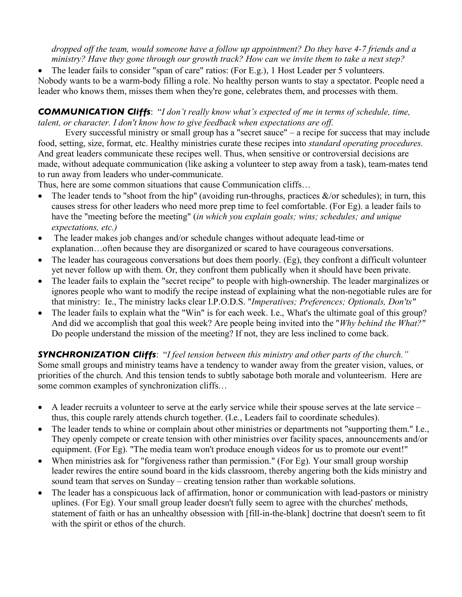*dropped off the team, would someone have a follow up appointment? Do they have 4-7 friends and a ministry? Have they gone through our growth track? How can we invite them to take a next step?*

• The leader fails to consider "span of care" ratios: (For E.g.), 1 Host Leader per 5 volunteers. Nobody wants to be a warm-body filling a role. No healthy person wants to stay a spectator. People need a leader who knows them, misses them when they're gone, celebrates them, and processes with them.

*COMMUNICATION Cliffs*: "*I don't really know what's expected of me in terms of schedule, time, talent, or character. I don't know how to give feedback when expectations are off.*

Every successful ministry or small group has a "secret sauce" – a recipe for success that may include food, setting, size, format, etc. Healthy ministries curate these recipes into *standard operating procedures.* And great leaders communicate these recipes well. Thus, when sensitive or controversial decisions are made, without adequate communication (like asking a volunteer to step away from a task), team-mates tend to run away from leaders who under-communicate.

Thus, here are some common situations that cause Communication cliffs…

- The leader tends to "shoot from the hip" (avoiding run-throughs, practices  $\&$ /or schedules); in turn, this causes stress for other leaders who need more prep time to feel comfortable. (For Eg). a leader fails to have the "meeting before the meeting" (*in which you explain goals; wins; schedules; and unique expectations, etc.)*
- The leader makes job changes and/or schedule changes without adequate lead-time or explanation…often because they are disorganized or scared to have courageous conversations.
- The leader has courageous conversations but does them poorly. (Eg), they confront a difficult volunteer yet never follow up with them. Or, they confront them publically when it should have been private.
- The leader fails to explain the "secret recipe" to people with high-ownership. The leader marginalizes or ignores people who want to modify the recipe instead of explaining what the non-negotiable rules are for that ministry: Ie., The ministry lacks clear I.P.O.D.S. "*Imperatives; Preferences; Optionals, Don'ts"*
- The leader fails to explain what the "Win" is for each week. I.e., What's the ultimate goal of this group? And did we accomplish that goal this week? Are people being invited into the "*Why behind the What?"* Do people understand the mission of the meeting? If not, they are less inclined to come back.

*SYNCHRONIZATION Cliffs*: "*I feel tension between this ministry and other parts of the church."* Some small groups and ministry teams have a tendency to wander away from the greater vision, values, or priorities of the church. And this tension tends to subtly sabotage both morale and volunteerism. Here are some common examples of synchronization cliffs…

- A leader recruits a volunteer to serve at the early service while their spouse serves at the late service thus, this couple rarely attends church together. (I.e., Leaders fail to coordinate schedules).
- The leader tends to whine or complain about other ministries or departments not "supporting them." I.e., They openly compete or create tension with other ministries over facility spaces, announcements and/or equipment. (For Eg). "The media team won't produce enough videos for us to promote our event!"
- When ministries ask for "forgiveness rather than permission." (For Eg). Your small group worship leader rewires the entire sound board in the kids classroom, thereby angering both the kids ministry and sound team that serves on Sunday – creating tension rather than workable solutions.
- The leader has a conspicuous lack of affirmation, honor or communication with lead-pastors or ministry uplines. (For Eg). Your small group leader doesn't fully seem to agree with the churches' methods, statement of faith or has an unhealthy obsession with [fill-in-the-blank] doctrine that doesn't seem to fit with the spirit or ethos of the church.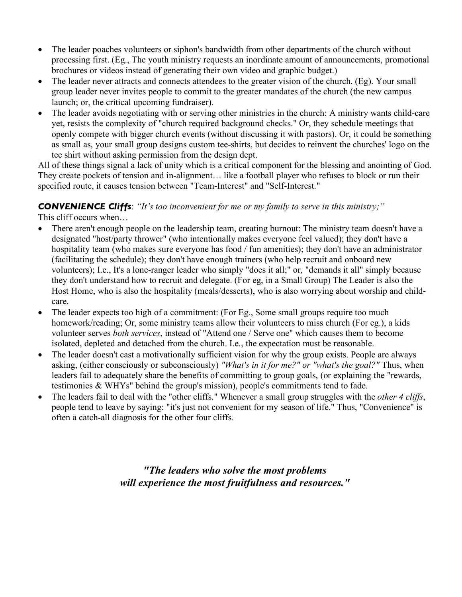- The leader poaches volunteers or siphon's bandwidth from other departments of the church without processing first. (Eg., The youth ministry requests an inordinate amount of announcements, promotional brochures or videos instead of generating their own video and graphic budget.)
- The leader never attracts and connects attendees to the greater vision of the church. (Eg). Your small group leader never invites people to commit to the greater mandates of the church (the new campus launch; or, the critical upcoming fundraiser).
- The leader avoids negotiating with or serving other ministries in the church: A ministry wants child-care yet, resists the complexity of "church required background checks." Or, they schedule meetings that openly compete with bigger church events (without discussing it with pastors). Or, it could be something as small as, your small group designs custom tee-shirts, but decides to reinvent the churches' logo on the tee shirt without asking permission from the design dept.

All of these things signal a lack of unity which is a critical component for the blessing and anointing of God. They create pockets of tension and in-alignment… like a football player who refuses to block or run their specified route, it causes tension between "Team-Interest" and "Self-Interest."

#### *CONVENIENCE Cliffs*: *"It's too inconvenient for me or my family to serve in this ministry;"*

This cliff occurs when…

- There aren't enough people on the leadership team, creating burnout: The ministry team doesn't have a designated "host/party thrower" (who intentionally makes everyone feel valued); they don't have a hospitality team (who makes sure everyone has food / fun amenities); they don't have an administrator (facilitating the schedule); they don't have enough trainers (who help recruit and onboard new volunteers); I.e., It's a lone-ranger leader who simply "does it all;" or, "demands it all" simply because they don't understand how to recruit and delegate. (For eg, in a Small Group) The Leader is also the Host Home, who is also the hospitality (meals/desserts), who is also worrying about worship and childcare.
- The leader expects too high of a commitment: (For Eg., Some small groups require too much homework/reading; Or, some ministry teams allow their volunteers to miss church (For eg.), a kids volunteer serves *both services*, instead of "Attend one / Serve one" which causes them to become isolated, depleted and detached from the church. I.e., the expectation must be reasonable.
- The leader doesn't cast a motivationally sufficient vision for why the group exists. People are always asking, (either consciously or subconsciously) *"What's in it for me?" or "what's the goal?"* Thus, when leaders fail to adequately share the benefits of committing to group goals, (or explaining the "rewards, testimonies & WHYs" behind the group's mission), people's commitments tend to fade.
- The leaders fail to deal with the "other cliffs." Whenever a small group struggles with the *other 4 cliffs*, people tend to leave by saying: "it's just not convenient for my season of life." Thus, "Convenience" is often a catch-all diagnosis for the other four cliffs.

*"The leaders who solve the most problems will experience the most fruitfulness and resources."*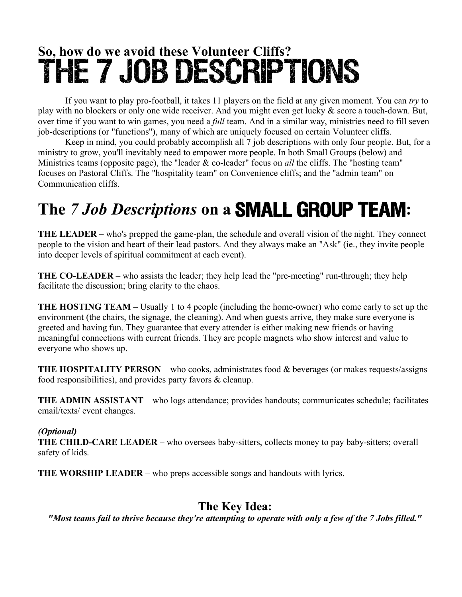# **So, how do we avoid these Volunteer Cliffs?** The 7 Job Descriptions

If you want to play pro-football, it takes 11 players on the field at any given moment. You can *try* to play with no blockers or only one wide receiver. And you might even get lucky & score a touch-down. But, over time if you want to win games, you need a *full* team. And in a similar way, ministries need to fill seven job-descriptions (or "functions"), many of which are uniquely focused on certain Volunteer cliffs.

Keep in mind, you could probably accomplish all 7 job descriptions with only four people. But, for a ministry to grow, you'll inevitably need to empower more people. In both Small Groups (below) and Ministries teams (opposite page), the "leader & co-leader" focus on *all* the cliffs. The "hosting team" focuses on Pastoral Cliffs. The "hospitality team" on Convenience cliffs; and the "admin team" on Communication cliffs.

# **The** *7 Job Descriptions* **on a** Small Group Team**:**

**THE LEADER** – who's prepped the game-plan, the schedule and overall vision of the night. They connect people to the vision and heart of their lead pastors. And they always make an "Ask" (ie., they invite people into deeper levels of spiritual commitment at each event).

**THE CO-LEADER** – who assists the leader; they help lead the "pre-meeting" run-through; they help facilitate the discussion; bring clarity to the chaos.

**THE HOSTING TEAM** – Usually 1 to 4 people (including the home-owner) who come early to set up the environment (the chairs, the signage, the cleaning). And when guests arrive, they make sure everyone is greeted and having fun. They guarantee that every attender is either making new friends or having meaningful connections with current friends. They are people magnets who show interest and value to everyone who shows up.

**THE HOSPITALITY PERSON** – who cooks, administrates food & beverages (or makes requests/assigns food responsibilities), and provides party favors & cleanup.

**THE ADMIN ASSISTANT** – who logs attendance; provides handouts; communicates schedule; facilitates email/texts/ event changes.

#### *(Optional)*

**THE CHILD-CARE LEADER** – who oversees baby-sitters, collects money to pay baby-sitters; overall safety of kids.

**THE WORSHIP LEADER** – who preps accessible songs and handouts with lyrics.

## **The Key Idea:**

*"Most teams fail to thrive because they're attempting to operate with only a few of the 7 Jobs filled."*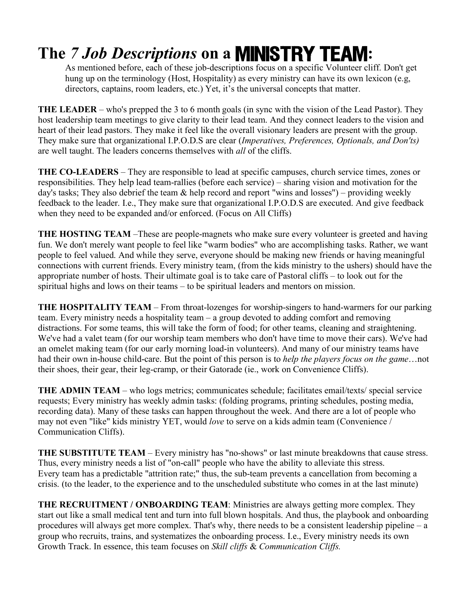# **The** *7 Job Descriptions* **on a** Ministry Team**:**

As mentioned before, each of these job-descriptions focus on a specific Volunteer cliff. Don't get hung up on the terminology (Host, Hospitality) as every ministry can have its own lexicon (e.g, directors, captains, room leaders, etc.) Yet, it's the universal concepts that matter.

**THE LEADER** – who's prepped the 3 to 6 month goals (in sync with the vision of the Lead Pastor). They host leadership team meetings to give clarity to their lead team. And they connect leaders to the vision and heart of their lead pastors. They make it feel like the overall visionary leaders are present with the group. They make sure that organizational I.P.O.D.S are clear (*Imperatives, Preferences, Optionals, and Don'ts)* are well taught. The leaders concerns themselves with *all* of the cliffs.

**THE CO-LEADERS** – They are responsible to lead at specific campuses, church service times, zones or responsibilities. They help lead team-rallies (before each service) – sharing vision and motivation for the day's tasks; They also debrief the team  $\&$  help record and report "wins and losses") – providing weekly feedback to the leader. I.e., They make sure that organizational I.P.O.D.S are executed. And give feedback when they need to be expanded and/or enforced. (Focus on All Cliffs)

**THE HOSTING TEAM** –These are people-magnets who make sure every volunteer is greeted and having fun. We don't merely want people to feel like "warm bodies" who are accomplishing tasks. Rather, we want people to feel valued. And while they serve, everyone should be making new friends or having meaningful connections with current friends. Every ministry team, (from the kids ministry to the ushers) should have the appropriate number of hosts. Their ultimate goal is to take care of Pastoral cliffs – to look out for the spiritual highs and lows on their teams – to be spiritual leaders and mentors on mission.

**THE HOSPITALITY TEAM** – From throat-lozenges for worship-singers to hand-warmers for our parking team. Every ministry needs a hospitality team – a group devoted to adding comfort and removing distractions. For some teams, this will take the form of food; for other teams, cleaning and straightening. We've had a valet team (for our worship team members who don't have time to move their cars). We've had an omelet making team (for our early morning load-in volunteers). And many of our ministry teams have had their own in-house child-care. But the point of this person is to *help the players focus on the game*…not their shoes, their gear, their leg-cramp, or their Gatorade (ie., work on Convenience Cliffs).

**THE ADMIN TEAM** – who logs metrics; communicates schedule; facilitates email/texts/ special service requests; Every ministry has weekly admin tasks: (folding programs, printing schedules, posting media, recording data). Many of these tasks can happen throughout the week. And there are a lot of people who may not even "like" kids ministry YET, would *love* to serve on a kids admin team (Convenience / Communication Cliffs).

**THE SUBSTITUTE TEAM** – Every ministry has "no-shows" or last minute breakdowns that cause stress. Thus, every ministry needs a list of "on-call" people who have the ability to alleviate this stress. Every team has a predictable "attrition rate;" thus, the sub-team prevents a cancellation from becoming a crisis. (to the leader, to the experience and to the unscheduled substitute who comes in at the last minute)

**THE RECRUITMENT / ONBOARDING TEAM**: Ministries are always getting more complex. They start out like a small medical tent and turn into full blown hospitals. And thus, the playbook and onboarding procedures will always get more complex. That's why, there needs to be a consistent leadership pipeline – a group who recruits, trains, and systematizes the onboarding process. I.e., Every ministry needs its own Growth Track. In essence, this team focuses on *Skill cliffs* & *Communication Cliffs.*